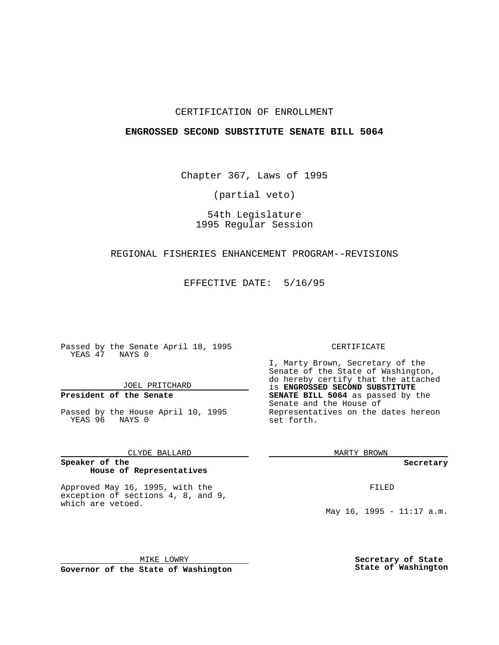## CERTIFICATION OF ENROLLMENT

### **ENGROSSED SECOND SUBSTITUTE SENATE BILL 5064**

Chapter 367, Laws of 1995

(partial veto)

# 54th Legislature 1995 Regular Session

### REGIONAL FISHERIES ENHANCEMENT PROGRAM--REVISIONS

EFFECTIVE DATE: 5/16/95

Passed by the Senate April 18, 1995 YEAS 47 NAYS 0

JOEL PRITCHARD

## **President of the Senate**

Passed by the House April 10, 1995 YEAS 96 NAYS 0

CLYDE BALLARD

### **Speaker of the House of Representatives**

Approved May 16, 1995, with the exception of sections 4, 8, and 9, which are vetoed.

MIKE LOWRY **Governor of the State of Washington**

### CERTIFICATE

I, Marty Brown, Secretary of the Senate of the State of Washington, do hereby certify that the attached is **ENGROSSED SECOND SUBSTITUTE SENATE BILL 5064** as passed by the Senate and the House of Representatives on the dates hereon set forth.

MARTY BROWN

**Secretary**

FILED

May 16, 1995 - 11:17 a.m.

**Secretary of State State of Washington**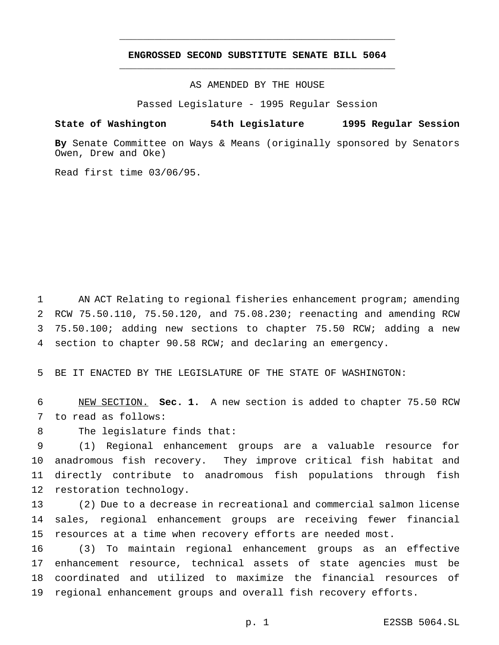# **ENGROSSED SECOND SUBSTITUTE SENATE BILL 5064** \_\_\_\_\_\_\_\_\_\_\_\_\_\_\_\_\_\_\_\_\_\_\_\_\_\_\_\_\_\_\_\_\_\_\_\_\_\_\_\_\_\_\_\_\_\_\_

\_\_\_\_\_\_\_\_\_\_\_\_\_\_\_\_\_\_\_\_\_\_\_\_\_\_\_\_\_\_\_\_\_\_\_\_\_\_\_\_\_\_\_\_\_\_\_

AS AMENDED BY THE HOUSE

Passed Legislature - 1995 Regular Session

## **State of Washington 54th Legislature 1995 Regular Session**

**By** Senate Committee on Ways & Means (originally sponsored by Senators Owen, Drew and Oke)

Read first time 03/06/95.

 AN ACT Relating to regional fisheries enhancement program; amending RCW 75.50.110, 75.50.120, and 75.08.230; reenacting and amending RCW 75.50.100; adding new sections to chapter 75.50 RCW; adding a new section to chapter 90.58 RCW; and declaring an emergency.

BE IT ENACTED BY THE LEGISLATURE OF THE STATE OF WASHINGTON:

 NEW SECTION. **Sec. 1.** A new section is added to chapter 75.50 RCW to read as follows:

The legislature finds that:

 (1) Regional enhancement groups are a valuable resource for anadromous fish recovery. They improve critical fish habitat and directly contribute to anadromous fish populations through fish restoration technology.

 (2) Due to a decrease in recreational and commercial salmon license sales, regional enhancement groups are receiving fewer financial resources at a time when recovery efforts are needed most.

 (3) To maintain regional enhancement groups as an effective enhancement resource, technical assets of state agencies must be coordinated and utilized to maximize the financial resources of regional enhancement groups and overall fish recovery efforts.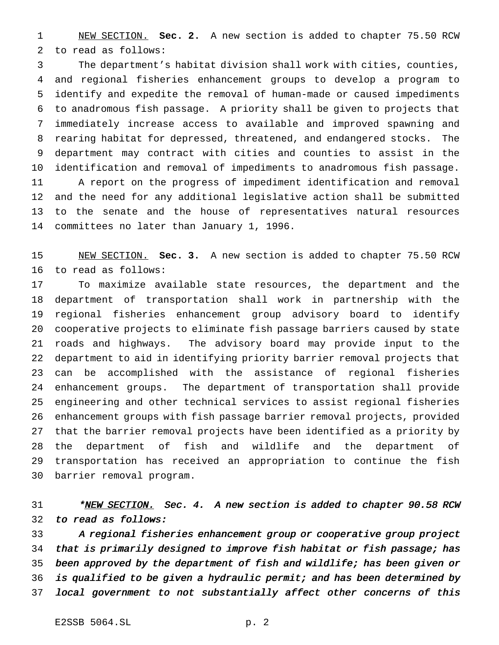NEW SECTION. **Sec. 2.** A new section is added to chapter 75.50 RCW to read as follows:

 The department's habitat division shall work with cities, counties, and regional fisheries enhancement groups to develop a program to identify and expedite the removal of human-made or caused impediments to anadromous fish passage. A priority shall be given to projects that immediately increase access to available and improved spawning and rearing habitat for depressed, threatened, and endangered stocks. The department may contract with cities and counties to assist in the identification and removal of impediments to anadromous fish passage. A report on the progress of impediment identification and removal and the need for any additional legislative action shall be submitted to the senate and the house of representatives natural resources committees no later than January 1, 1996.

 NEW SECTION. **Sec. 3.** A new section is added to chapter 75.50 RCW to read as follows:

 To maximize available state resources, the department and the department of transportation shall work in partnership with the regional fisheries enhancement group advisory board to identify cooperative projects to eliminate fish passage barriers caused by state roads and highways. The advisory board may provide input to the department to aid in identifying priority barrier removal projects that can be accomplished with the assistance of regional fisheries enhancement groups. The department of transportation shall provide engineering and other technical services to assist regional fisheries enhancement groups with fish passage barrier removal projects, provided that the barrier removal projects have been identified as a priority by the department of fish and wildlife and the department of transportation has received an appropriation to continue the fish barrier removal program.

31 \*<u>NEW SECTION.</u> Sec. 4. A new section is added to chapter 90.58 RCW to read as follows:

 <sup>A</sup> regional fisheries enhancement group or cooperative group project that is primarily designed to improve fish habitat or fish passage; has been approved by the department of fish and wildlife; has been given or is qualified to be given <sup>a</sup> hydraulic permit; and has been determined by local government to not substantially affect other concerns of this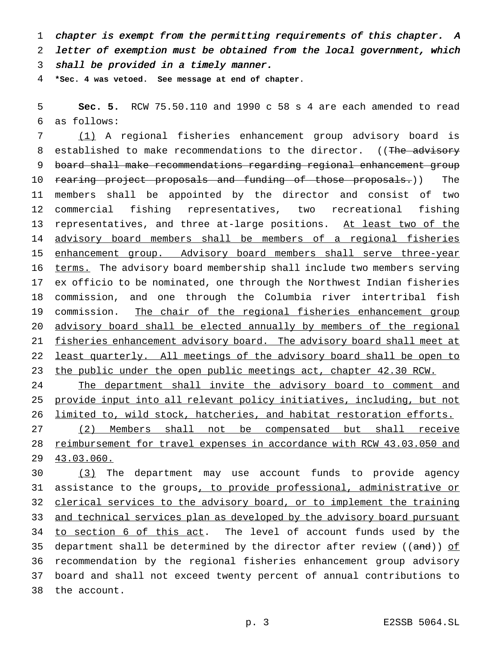chapter is exempt from the permitting requirements of this chapter. <sup>A</sup> letter of exemption must be obtained from the local government, which shall be provided in <sup>a</sup> timely manner.

**\*Sec. 4 was vetoed. See message at end of chapter.**

 **Sec. 5.** RCW 75.50.110 and 1990 c 58 s 4 are each amended to read as follows:

 (1) A regional fisheries enhancement group advisory board is 8 established to make recommendations to the director. ((The advisory board shall make recommendations regarding regional enhancement group 10 rearing project proposals and funding of those proposals.)) The members shall be appointed by the director and consist of two commercial fishing representatives, two recreational fishing 13 representatives, and three at-large positions. At least two of the advisory board members shall be members of a regional fisheries 15 enhancement group. Advisory board members shall serve three-year 16 terms. The advisory board membership shall include two members serving ex officio to be nominated, one through the Northwest Indian fisheries commission, and one through the Columbia river intertribal fish 19 commission. The chair of the regional fisheries enhancement group advisory board shall be elected annually by members of the regional fisheries enhancement advisory board. The advisory board shall meet at least quarterly. All meetings of the advisory board shall be open to 23 the public under the open public meetings act, chapter 42.30 RCW.

24 The department shall invite the advisory board to comment and provide input into all relevant policy initiatives, including, but not limited to, wild stock, hatcheries, and habitat restoration efforts.

 (2) Members shall not be compensated but shall receive reimbursement for travel expenses in accordance with RCW 43.03.050 and 43.03.060.

 (3) The department may use account funds to provide agency 31 assistance to the groups, to provide professional, administrative or 32 clerical services to the advisory board, or to implement the training and technical services plan as developed by the advisory board pursuant 34 to section 6 of this act. The level of account funds used by the 35 department shall be determined by the director after review ( $(\text{and})$ ) of recommendation by the regional fisheries enhancement group advisory board and shall not exceed twenty percent of annual contributions to the account.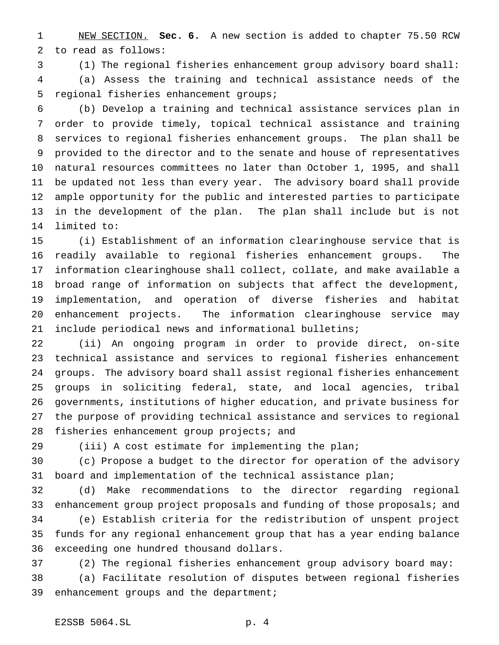NEW SECTION. **Sec. 6.** A new section is added to chapter 75.50 RCW to read as follows:

(1) The regional fisheries enhancement group advisory board shall:

 (a) Assess the training and technical assistance needs of the regional fisheries enhancement groups;

 (b) Develop a training and technical assistance services plan in order to provide timely, topical technical assistance and training services to regional fisheries enhancement groups. The plan shall be provided to the director and to the senate and house of representatives natural resources committees no later than October 1, 1995, and shall be updated not less than every year. The advisory board shall provide ample opportunity for the public and interested parties to participate in the development of the plan. The plan shall include but is not limited to:

 (i) Establishment of an information clearinghouse service that is readily available to regional fisheries enhancement groups. The information clearinghouse shall collect, collate, and make available a broad range of information on subjects that affect the development, implementation, and operation of diverse fisheries and habitat enhancement projects. The information clearinghouse service may include periodical news and informational bulletins;

 (ii) An ongoing program in order to provide direct, on-site technical assistance and services to regional fisheries enhancement groups. The advisory board shall assist regional fisheries enhancement groups in soliciting federal, state, and local agencies, tribal governments, institutions of higher education, and private business for the purpose of providing technical assistance and services to regional 28 fisheries enhancement group projects; and

(iii) A cost estimate for implementing the plan;

 (c) Propose a budget to the director for operation of the advisory board and implementation of the technical assistance plan;

 (d) Make recommendations to the director regarding regional 33 enhancement group project proposals and funding of those proposals; and (e) Establish criteria for the redistribution of unspent project funds for any regional enhancement group that has a year ending balance exceeding one hundred thousand dollars.

 (2) The regional fisheries enhancement group advisory board may: (a) Facilitate resolution of disputes between regional fisheries

enhancement groups and the department;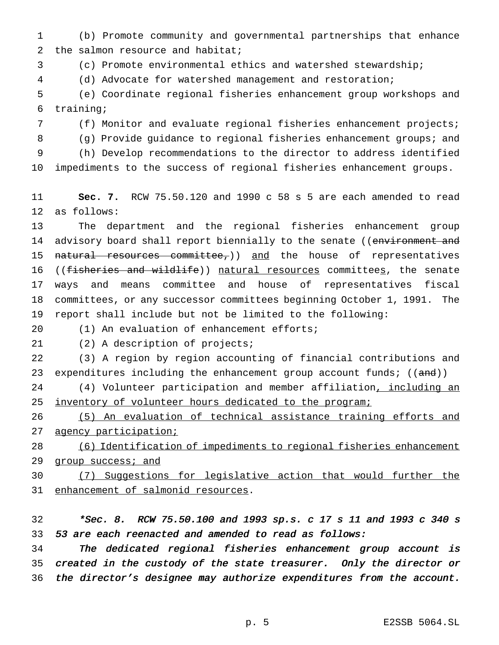(b) Promote community and governmental partnerships that enhance 2 the salmon resource and habitat;

(c) Promote environmental ethics and watershed stewardship;

(d) Advocate for watershed management and restoration;

 (e) Coordinate regional fisheries enhancement group workshops and training;

(f) Monitor and evaluate regional fisheries enhancement projects;

(g) Provide guidance to regional fisheries enhancement groups; and

(h) Develop recommendations to the director to address identified

impediments to the success of regional fisheries enhancement groups.

 **Sec. 7.** RCW 75.50.120 and 1990 c 58 s 5 are each amended to read as follows:

 The department and the regional fisheries enhancement group 14 advisory board shall report biennially to the senate ((environment and 15 natural resources committee,)) and the house of representatives 16 ((fisheries and wildlife)) natural resources committees, the senate ways and means committee and house of representatives fiscal committees, or any successor committees beginning October 1, 1991. The report shall include but not be limited to the following:

(1) An evaluation of enhancement efforts;

(2) A description of projects;

 (3) A region by region accounting of financial contributions and 23 expenditures including the enhancement group account funds;  $((and))$ 

24 (4) Volunteer participation and member affiliation, including an 25 inventory of volunteer hours dedicated to the program;

 (5) An evaluation of technical assistance training efforts and agency participation;

 (6) Identification of impediments to regional fisheries enhancement 29 group success; and

 (7) Suggestions for legislative action that would further the 31 enhancement of salmonid resources.

 \*Sec. 8. RCW 75.50.100 and <sup>1993</sup> sp.s. <sup>c</sup> <sup>17</sup> <sup>s</sup> <sup>11</sup> and <sup>1993</sup> <sup>c</sup> <sup>340</sup> <sup>s</sup> <sup>53</sup> are each reenacted and amended to read as follows:

 The dedicated regional fisheries enhancement group account is created in the custody of the state treasurer. Only the director or the director's designee may authorize expenditures from the account.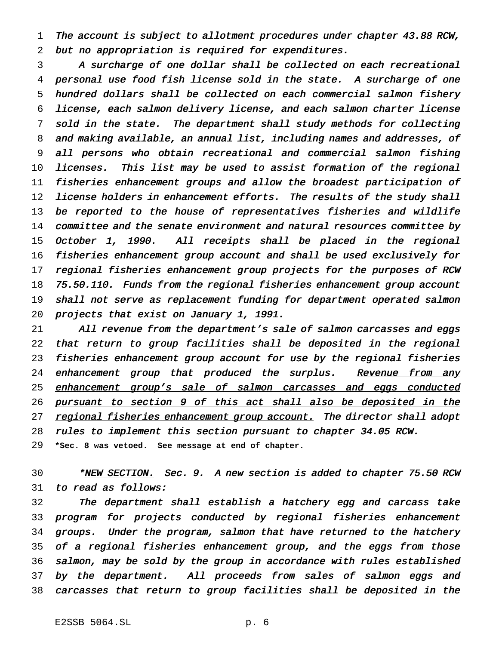1 The account is subject to allotment procedures under chapter 43.88 RCW, but no appropriation is required for expenditures.

 <sup>A</sup> surcharge of one dollar shall be collected on each recreational personal use food fish license sold in the state. <sup>A</sup> surcharge of one hundred dollars shall be collected on each commercial salmon fishery license, each salmon delivery license, and each salmon charter license sold in the state. The department shall study methods for collecting and making available, an annual list, including names and addresses, of all persons who obtain recreational and commercial salmon fishing licenses. This list may be used to assist formation of the regional fisheries enhancement groups and allow the broadest participation of 12 license holders in enhancement efforts. The results of the study shall 13 be reported to the house of representatives fisheries and wildlife 14 committee and the senate environment and natural resources committee by October 1, 1990. All receipts shall be placed in the regional fisheries enhancement group account and shall be used exclusively for regional fisheries enhancement group projects for the purposes of RCW 75.50.110. Funds from the regional fisheries enhancement group account shall not serve as replacement funding for department operated salmon projects that exist on January 1, 1991.

21 All revenue from the department's sale of salmon carcasses and eggs that return to group facilities shall be deposited in the regional fisheries enhancement group account for use by the regional fisheries 24 enhancement group that produced the surplus. Revenue from any 25 enhancement group's sale of salmon carcasses and eggs conducted 26 pursuant to section 9 of this act shall also be deposited in the 27 regional fisheries enhancement group account. The director shall adopt rules to implement this section pursuant to chapter 34.05 RCW. **\*Sec. 8 was vetoed. See message at end of chapter.**

30 \*<u>NEW SECTION.</u> Sec. 9. A new section is added to chapter 75.50 RCW to read as follows:

 The department shall establish <sup>a</sup> hatchery egg and carcass take program for projects conducted by regional fisheries enhancement groups. Under the program, salmon that have returned to the hatchery 35 of a regional fisheries enhancement group, and the eggs from those salmon, may be sold by the group in accordance with rules established by the department. All proceeds from sales of salmon eggs and carcasses that return to group facilities shall be deposited in the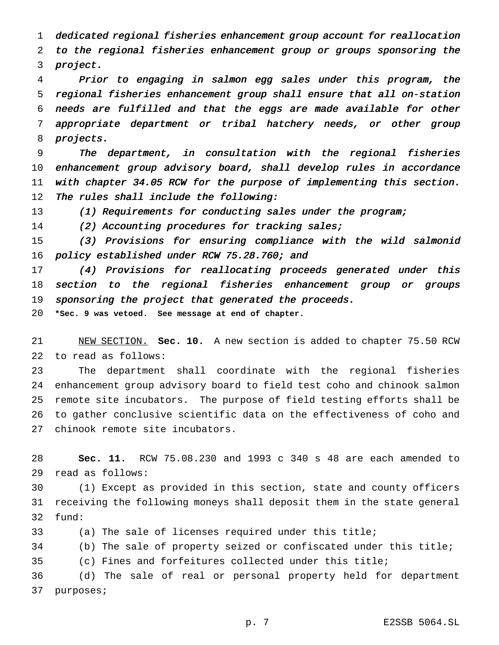dedicated regional fisheries enhancement group account for reallocation to the regional fisheries enhancement group or groups sponsoring the project.

 Prior to engaging in salmon egg sales under this program, the regional fisheries enhancement group shall ensure that all on-station needs are fulfilled and that the eggs are made available for other appropriate department or tribal hatchery needs, or other group projects.

 The department, in consultation with the regional fisheries enhancement group advisory board, shall develop rules in accordance with chapter 34.05 RCW for the purpose of implementing this section. 12 The rules shall include the following:

(1) Requirements for conducting sales under the program;

(2) Accounting procedures for tracking sales;

 (3) Provisions for ensuring compliance with the wild salmonid 16 policy established under RCW 75.28.760; and

 (4) Provisions for reallocating proceeds generated under this section to the regional fisheries enhancement group or groups 19 sponsoring the project that generated the proceeds.

**\*Sec. 9 was vetoed. See message at end of chapter.**

 NEW SECTION. **Sec. 10.** A new section is added to chapter 75.50 RCW to read as follows:

 The department shall coordinate with the regional fisheries enhancement group advisory board to field test coho and chinook salmon remote site incubators. The purpose of field testing efforts shall be to gather conclusive scientific data on the effectiveness of coho and chinook remote site incubators.

 **Sec. 11.** RCW 75.08.230 and 1993 c 340 s 48 are each amended to read as follows:

 (1) Except as provided in this section, state and county officers receiving the following moneys shall deposit them in the state general fund:

(a) The sale of licenses required under this title;

(b) The sale of property seized or confiscated under this title;

(c) Fines and forfeitures collected under this title;

 (d) The sale of real or personal property held for department purposes;

p. 7 E2SSB 5064.SL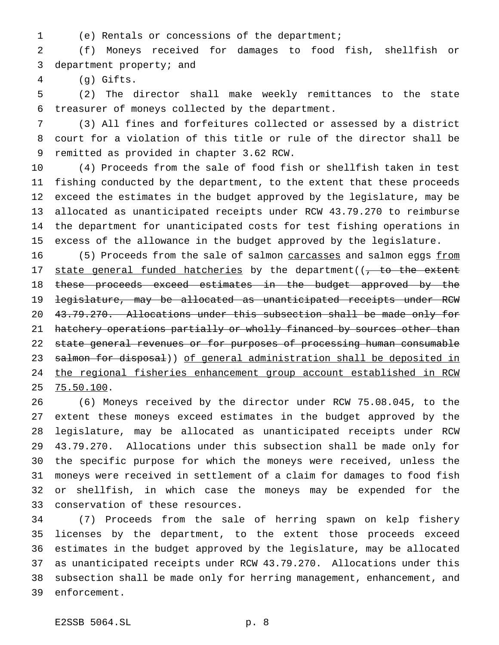- 
- (e) Rentals or concessions of the department;

 (f) Moneys received for damages to food fish, shellfish or department property; and

(g) Gifts.

 (2) The director shall make weekly remittances to the state treasurer of moneys collected by the department.

 (3) All fines and forfeitures collected or assessed by a district court for a violation of this title or rule of the director shall be remitted as provided in chapter 3.62 RCW.

 (4) Proceeds from the sale of food fish or shellfish taken in test fishing conducted by the department, to the extent that these proceeds exceed the estimates in the budget approved by the legislature, may be allocated as unanticipated receipts under RCW 43.79.270 to reimburse the department for unanticipated costs for test fishing operations in excess of the allowance in the budget approved by the legislature.

16 (5) Proceeds from the sale of salmon carcasses and salmon eggs from 17 state general funded hatcheries by the department( $\sqrt{7}$  to the extent 18 these proceeds exceed estimates in the budget approved by the legislature, may be allocated as unanticipated receipts under RCW 43.79.270. Allocations under this subsection shall be made only for 21 hatchery operations partially or wholly financed by sources other than 22 state general revenues or for purposes of processing human consumable 23 salmon for disposal)) of general administration shall be deposited in the regional fisheries enhancement group account established in RCW 75.50.100.

 (6) Moneys received by the director under RCW 75.08.045, to the extent these moneys exceed estimates in the budget approved by the legislature, may be allocated as unanticipated receipts under RCW 43.79.270. Allocations under this subsection shall be made only for the specific purpose for which the moneys were received, unless the moneys were received in settlement of a claim for damages to food fish or shellfish, in which case the moneys may be expended for the conservation of these resources.

 (7) Proceeds from the sale of herring spawn on kelp fishery licenses by the department, to the extent those proceeds exceed estimates in the budget approved by the legislature, may be allocated as unanticipated receipts under RCW 43.79.270. Allocations under this subsection shall be made only for herring management, enhancement, and enforcement.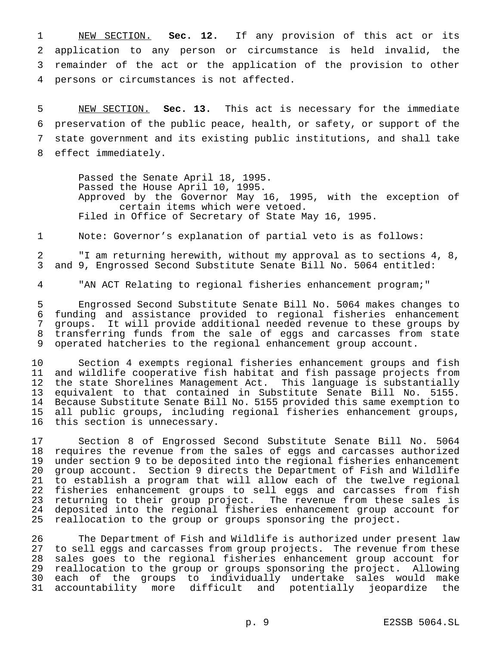NEW SECTION. **Sec. 12.** If any provision of this act or its application to any person or circumstance is held invalid, the remainder of the act or the application of the provision to other persons or circumstances is not affected.

 NEW SECTION. **Sec. 13.** This act is necessary for the immediate preservation of the public peace, health, or safety, or support of the state government and its existing public institutions, and shall take effect immediately.

Passed the Senate April 18, 1995. Passed the House April 10, 1995. Approved by the Governor May 16, 1995, with the exception of certain items which were vetoed. Filed in Office of Secretary of State May 16, 1995.

Note: Governor's explanation of partial veto is as follows:

 "I am returning herewith, without my approval as to sections 4, 8, and 9, Engrossed Second Substitute Senate Bill No. 5064 entitled:

"AN ACT Relating to regional fisheries enhancement program;"

 Engrossed Second Substitute Senate Bill No. 5064 makes changes to funding and assistance provided to regional fisheries enhancement groups. It will provide additional needed revenue to these groups by transferring funds from the sale of eggs and carcasses from state operated hatcheries to the regional enhancement group account.

 Section 4 exempts regional fisheries enhancement groups and fish and wildlife cooperative fish habitat and fish passage projects from the state Shorelines Management Act. This language is substantially 13 equivalent to that contained in Substitute Senate Bill No. 5155.<br>14 Because Substitute Senate Bill No. 5155 provided this same exemption to 14 Because Substitute Senate Bill No. 5155 provided this same exemption to<br>15 all public groups, including regional fisheries enhancement groups, all public groups, including regional fisheries enhancement groups, this section is unnecessary.

 Section 8 of Engrossed Second Substitute Senate Bill No. 5064 18 requires the revenue from the sales of eggs and carcasses authorized<br>19 under section 9 to be deposited into the regional fisheries enhancement under section 9 to be deposited into the regional fisheries enhancement group account. Section 9 directs the Department of Fish and Wildlife 21 to establish a program that will allow each of the twelve regional<br>22 fisheries enhancement groups to sell eggs and carcasses from fish fisheries enhancement groups to sell eggs and carcasses from fish returning to their group project. The revenue from these sales is 24 deposited into the regional fisheries enhancement group account for<br>25 reallocation to the group or groups sponsoring the project. reallocation to the group or groups sponsoring the project.

 The Department of Fish and Wildlife is authorized under present law to sell eggs and carcasses from group projects. The revenue from these sales goes to the regional fisheries enhancement group account for reallocation to the group or groups sponsoring the project. Allowing each of the groups to individually undertake sales would make accountability more difficult and potentially jeopardize the